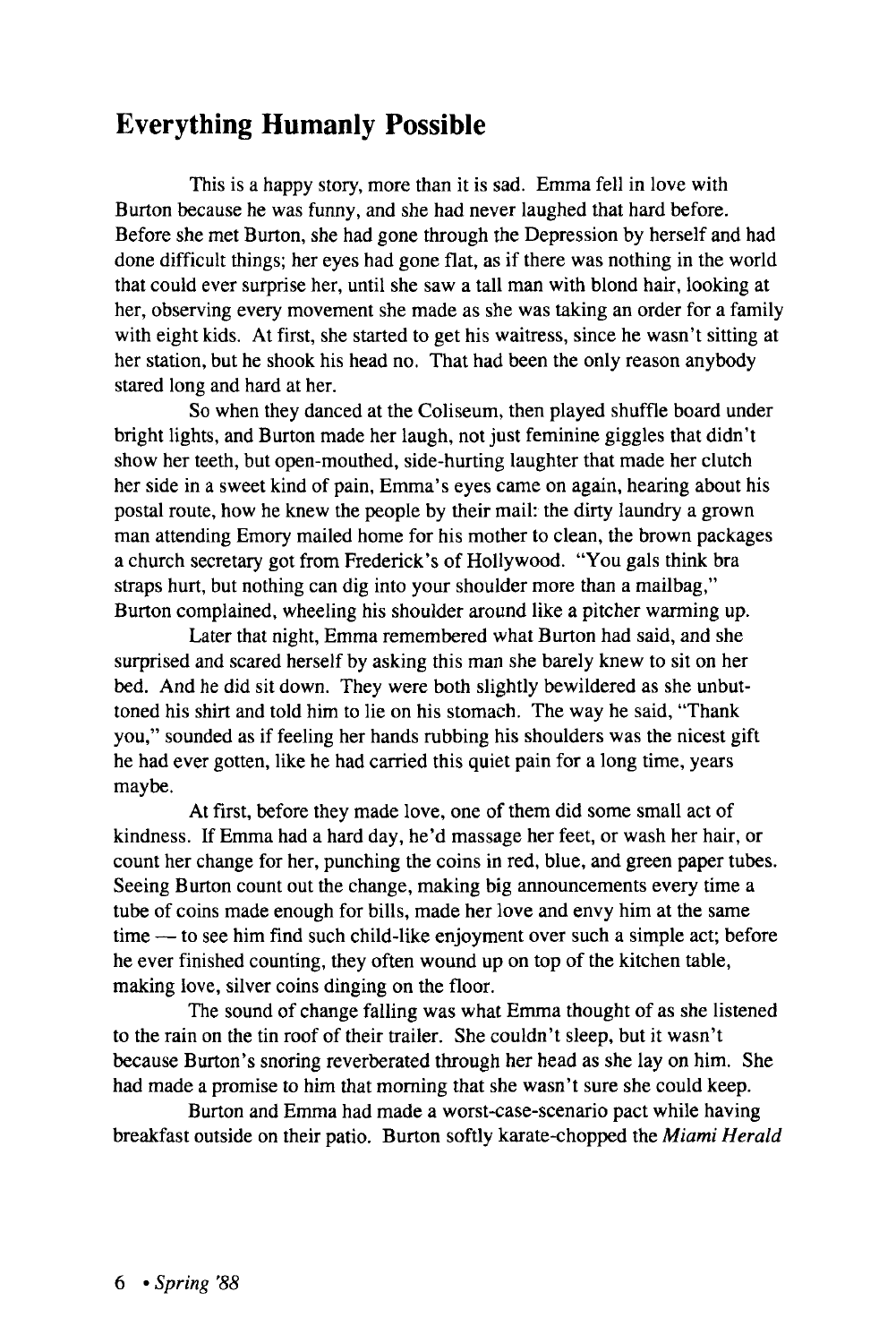## Everything Humanly Possible

This is a happy story, more than it is sad. Emma fell in love with Burton because he was funny, and she had never laughed that hard before. Before she met Burton, she had gone through the Depression by herself and had done difficult things; her eyes had gone flat, as if there was nothing in the world that could ever surprise her, until she saw a tall man with blond hair, looking at her, observing every movement she made as she was taking an order for a family with eight kids. At first, she started to get his waitress, since he wasn't sitting at her station, but he shook his head no. That had been the only reason anybody stared long and hard at her.

So when they danced at the Coliseum, then played shuffle board under bright lights, and Burton made her laugh, not just feminine giggles that didn't show her teeth, but open-mouthed, side-hurting laughter that made her clutch her side in a sweet kind of pain, Emma's eyes came on again, hearing about his postal route, how he knew the people by their mail: the dirty laundry a grown man attending Emory mailed home for his mother to clean, the brown packages a church secretary got from Frederick's of Hollywood. "You gals think bra straps hurt, but nothing can dig into your shoulder more than a mailbag," Burton complained, wheeling his shoulder around like a pitcher warming up.

Later that night, Emma remembered what Burton had said, and she surprised and scared herself by asking this man she barely knew to sit on her bed. And he did sit down. They were both slightly bewildered as she unbuttoned his shirt and told him to lie on his stomach. The way he said, "Thank you," sounded as if feeling her hands rubbing his shoulders was the nicest gift he had ever gotten, like he had carried this quiet pain for a long time, years maybe.

At first, before they made love, one of them did some small act of kindness. If Emma had a hard day, he'd massage her feet, or wash her hair, or count her change for her, punching the coins in red, blue, and green paper tubes. Seeing Burton count out the change, making big announcements every time a tube of coins made enough for bills, made her love and envy him at the same time — to see him find such child-like enjoyment over such a simple act; before he ever finished counting, they often wound up on top of the kitchen table, making love, silver coins dinging on the floor.

The sound of change falling was what Emma thought of as she listened to the rain on the tin roof of their trailer. She couldn't sleep, but it wasn't because Burton's snoring reverberated through her head as she lay on him. She had made a promise to him that morning that she wasn't sure she could keep.

Burton and Emma had made a worst-case-scenario pact while having breakfast outside on their patio. Burton softly karate-chopped the *Miami Herald*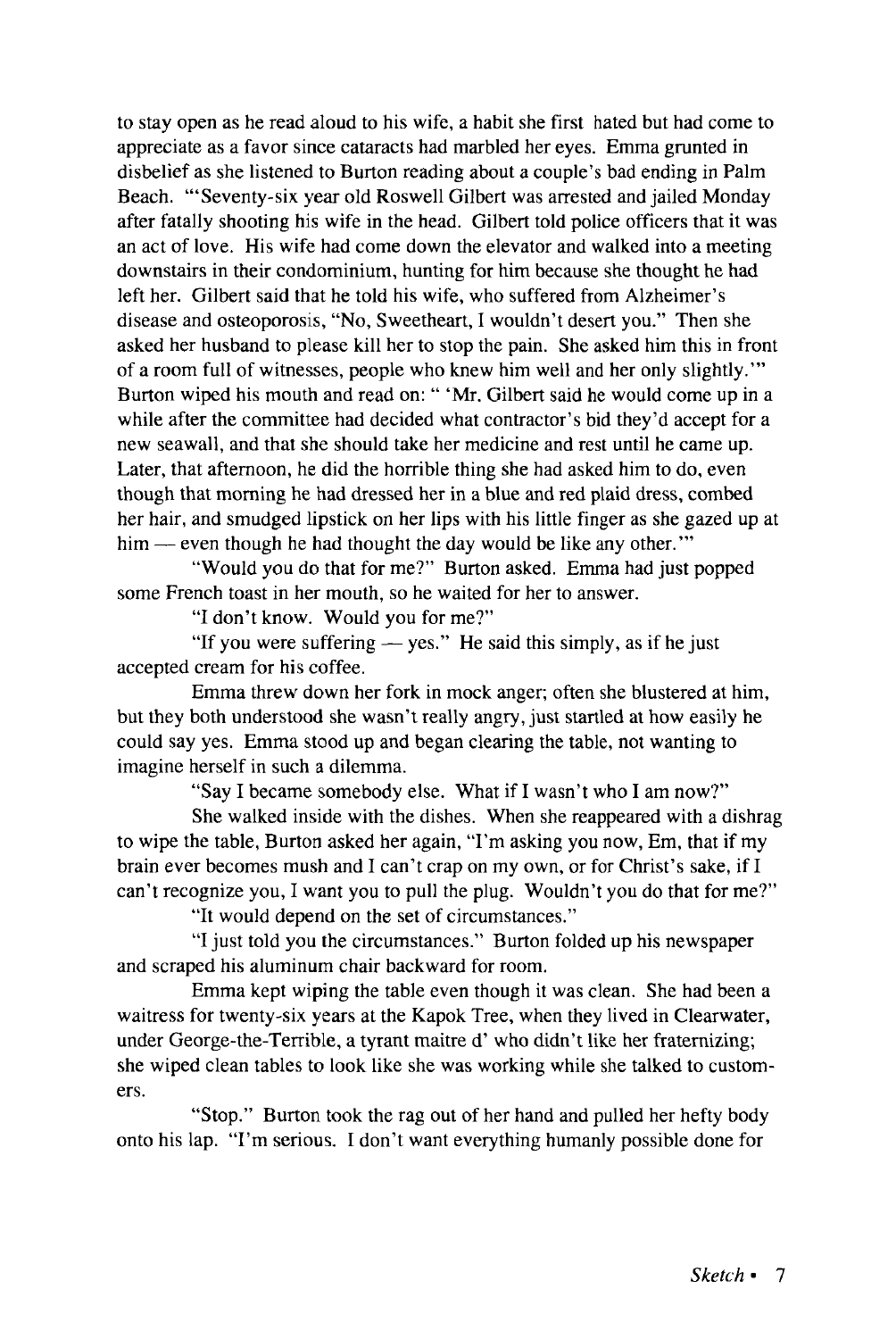to stay open as he read aloud to his wife, a habit she first hated but had come to appreciate as a favor since cataracts had marbled her eyes. Emma grunted in disbelief as she listened to Burton reading about a couple's bad ending in Palm Beach. '"Seventy-six year old Roswell Gilbert was arrested and jailed Monday after fatally shooting his wife in the head. Gilbert told police officers that it was an act of love. His wife had come down the elevator and walked into a meeting downstairs in their condominium, hunting for him because she thought he had left her. Gilbert said that he told his wife, who suffered from Alzheimer's disease and osteoporosis, "No, Sweetheart, I wouldn't desert you." Then she asked her husband to please kill her to stop the pain. She asked him this in front of a room full of witnesses, people who knew him well and her only slightly.'" Burton wiped his mouth and read on: " 'Mr. Gilbert said he would come up in a while after the committee had decided what contractor's bid they'd accept for a new seawall, and that she should take her medicine and rest until he came up. Later, that afternoon, he did the horrible thing she had asked him to do, even though that morning he had dressed her in a blue and red plaid dress, combed her hair, and smudged lipstick on her lips with his little finger as she gazed up at him — even though he had thought the day would be like any other."

"Would you do that for me?" Burton asked. Emma had just popped some French toast in her mouth, so he waited for her to answer.

"I don't know. Would you for me?"

"If you were suffering — yes." He said this simply, as if he just accepted cream for his coffee.

Emma threw down her fork in mock anger; often she blustered at him, but they both understood she wasn't really angry, just startled at how easily he could say yes. Emma stood up and began clearing the table, not wanting to imagine herself in such a dilemma.

"Say I became somebody else. What if I wasn't who I am now?"

She walked inside with the dishes. When she reappeared with a dishrag to wipe the table, Burton asked her again, "I'm asking you now, Em, that if my brain ever becomes mush and I can't crap on my own, or for Christ's sake, if I can't recognize you, I want you to pull the plug. Wouldn't you do that for me?"

"It would depend on the set of circumstances."

"I just told you the circumstances." Burton folded up his newspaper and scraped his aluminum chair backward for room.

Emma kept wiping the table even though it was clean. She had been a waitress for twenty-six years at the Kapok Tree, when they lived in Clearwater, under George-the-Terrible, a tyrant maitre d' who didn't like her fraternizing; she wiped clean tables to look like she was working while she talked to customers.

"Stop." Burton took the rag out of her hand and pulled her hefty body onto his lap. "I'm serious. I don't want everything humanly possible done for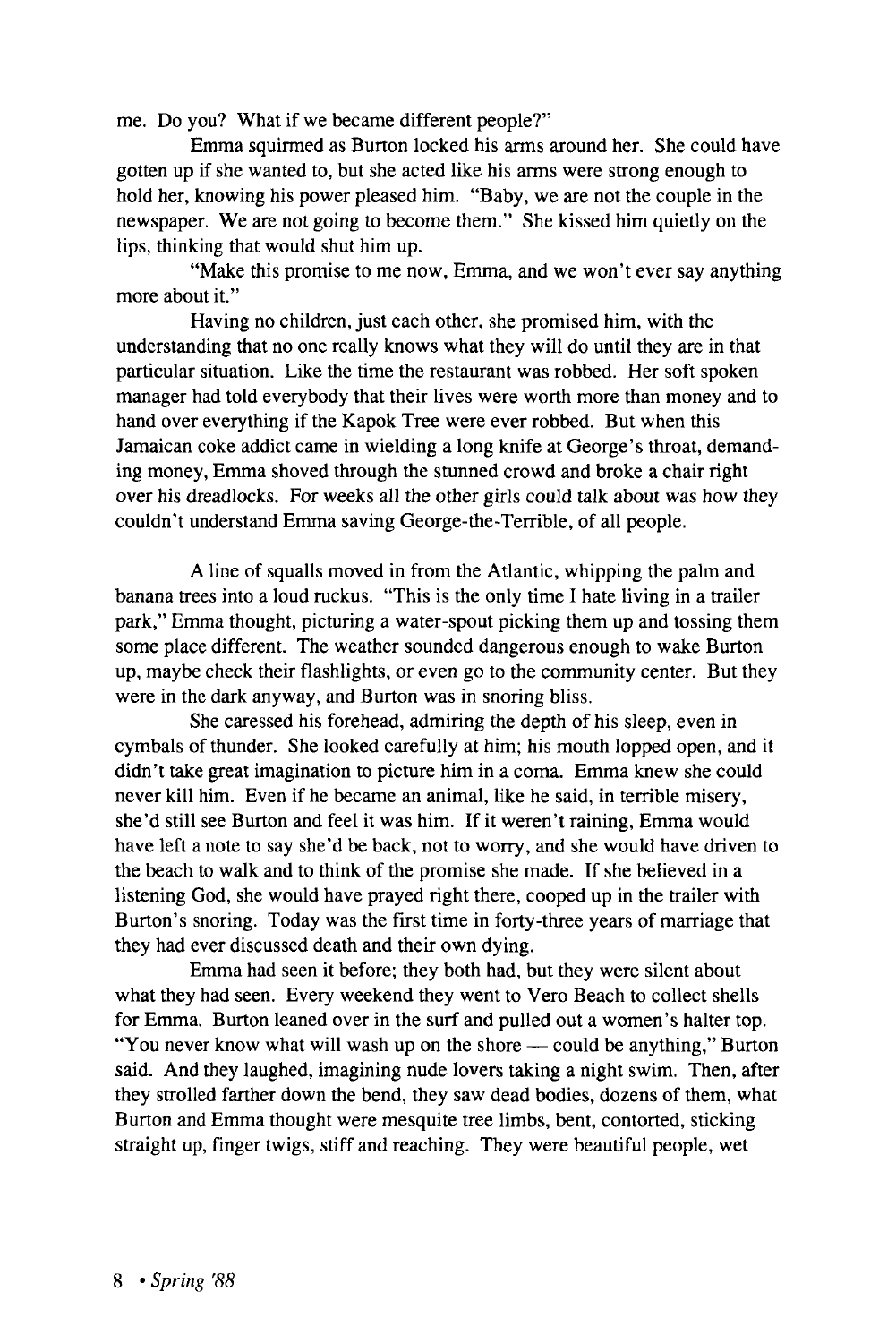me. Do you? What if we became different people?"

Emma squirmed as Burton locked his arms around her. She could have gotten up if she wanted to, but she acted like his arms were strong enough to hold her, knowing his power pleased him. "Baby, we are not the couple in the newspaper. We are not going to become them." She kissed him quietly on the lips, thinking that would shut him up.

"Make this promise to me now, Emma, and we won't ever say anything more about it."

Having no children, just each other, she promised him, with the understanding that no one really knows what they will do until they are in that particular situation. Like the time the restaurant was robbed. Her soft spoken manager had told everybody that their lives were worth more than money and to hand over everything if the Kapok Tree were ever robbed. But when this Jamaican coke addict came in wielding a long knife at George's throat, demanding money, Emma shoved through the stunned crowd and broke a chair right over his dreadlocks. For weeks all the other girls could talk about was how they couldn't understand Emma saving George-the-Terrible, of all people.

A line of squalls moved in from the Atlantic, whipping the palm and banana trees into a loud ruckus. "This is the only time I hate living in a trailer park," Emma thought, picturing a water-spout picking them up and tossing them some place different. The weather sounded dangerous enough to wake Burton up, maybe check their flashlights, or even go to the community center. But they were in the dark anyway, and Burton was in snoring bliss.

She caressed his forehead, admiring the depth of his sleep, even in cymbals of thunder. She looked carefully at him; his mouth lopped open, and it didn't take great imagination to picture him in a coma. Emma knew she could never kill him. Even if he became an animal, like he said, in terrible misery, she'd still see Burton and feel it was him. If it weren't raining, Emma would have left a note to say she'd be back, not to worry, and she would have driven to the beach to walk and to think of the promise she made. If she believed in a listening God, she would have prayed right there, cooped up in the trailer with Burton's snoring. Today was the first time in forty-three years of marriage that they had ever discussed death and their own dying.

Emma had seen it before; they both had, but they were silent about what they had seen. Every weekend they went to Vero Beach to collect shells for Emma. Burton leaned over in the surf and pulled out a women's halter top. "You never know what will wash up on the shore — could be anything," Burton said. And they laughed, imagining nude lovers taking a night swim. Then, after they strolled farther down the bend, they saw dead bodies, dozens of them, what Burton and Emma thought were mesquite tree limbs, bent, contorted, sticking straight up, finger twigs, stiff and reaching. They were beautiful people, wet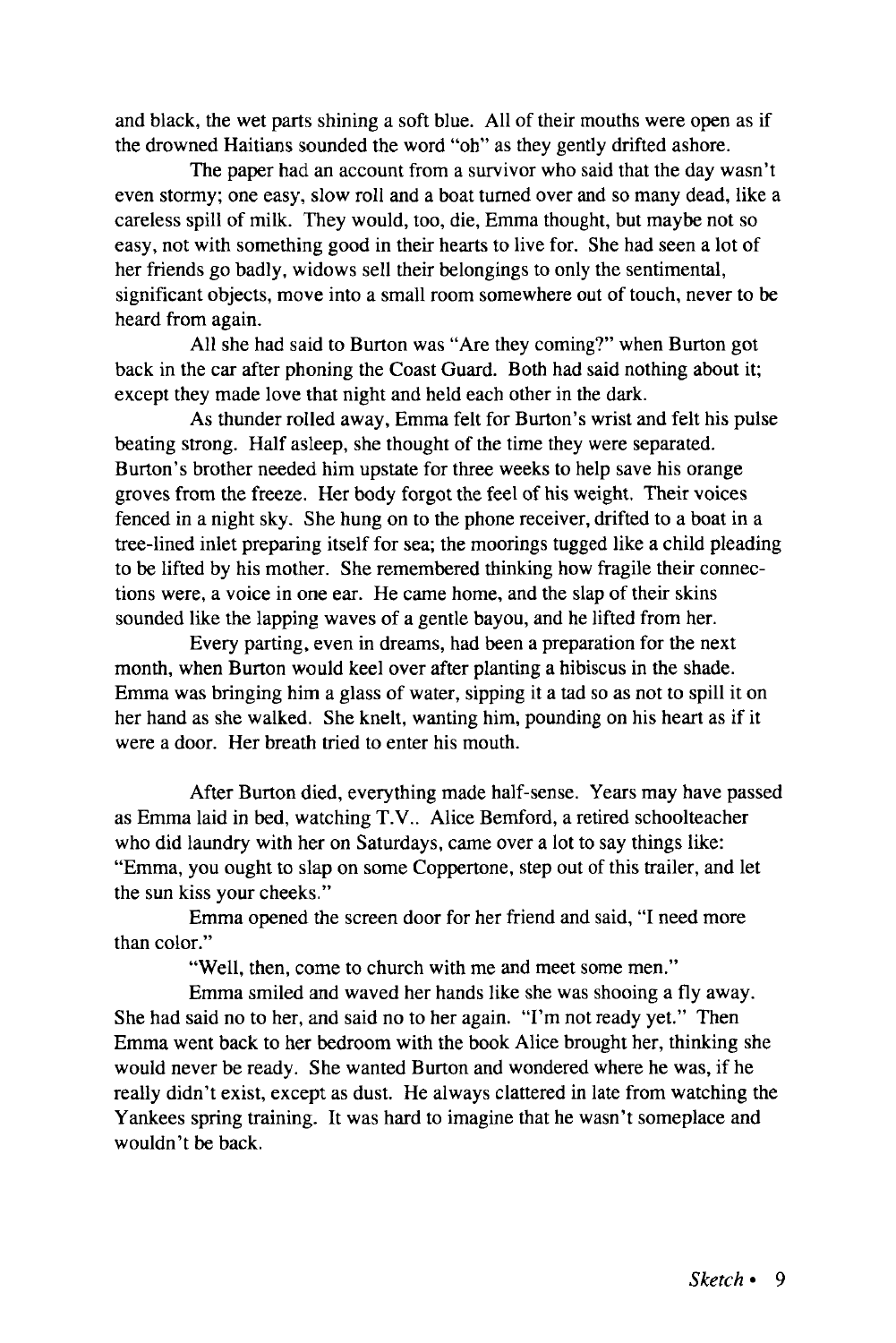and black, the wet parts shining a soft blue. All of their mouths were open as if the drowned Haitians sounded the word "oh" as they gently drifted ashore.

The paper had an account from a survivor who said that the day wasn't even stormy; one easy, slow roll and a boat turned over and so many dead, like a careless spill of milk. They would, too, die, Emma thought, but maybe not so easy, not with something good in their hearts to live for. She had seen a lot of her friends go badly, widows sell their belongings to only the sentimental, significant objects, move into a small room somewhere out of touch, never to be heard from again.

All she had said to Burton was "Are they coming?" when Burton got back in the car after phoning the Coast Guard. Both had said nothing about it; except they made love that night and held each other in the dark.

As thunder rolled away, Emma felt for Burton's wrist and felt his pulse beating strong. Half asleep, she thought of the time they were separated. Burton's brother needed him upstate for three weeks to help save his orange groves from the freeze. Her body forgot the feel of his weight. Their voices fenced in a night sky. She hung on to the phone receiver, drifted to a boat in a tree-lined inlet preparing itself for sea; the moorings tugged like a child pleading to be lifted by his mother. She remembered thinking how fragile their connections were, a voice in one ear. He came home, and the slap of their skins sounded like the lapping waves of a gentle bayou, and he lifted from her.

Every parting, even in dreams, had been a preparation for the next month, when Burton would keel over after planting a hibiscus in the shade. Emma was bringing him a glass of water, sipping it a tad so as not to spill it on her hand as she walked. She knelt, wanting him, pounding on his heart as if it were a door. Her breath tried to enter his mouth.

After Burton died, everything made half-sense. Years may have passed as Emma laid in bed, watching T.V.. Alice Bemford, a retired schoolteacher who did laundry with her on Saturdays, came over a lot to say things like: "Emma, you ought to slap on some Coppertone, step out of this trailer, and let the sun kiss your cheeks."

Emma opened the screen door for her friend and said, "I need more than color."

"Well, then, come to church with me and meet some men."

Emma smiled and waved her hands like she was shooing a fly away. She had said no to her, and said no to her again. "I'm not ready yet." Then Emma went back to her bedroom with the book Alice brought her, thinking she would never be ready. She wanted Burton and wondered where he was, if he really didn't exist, except as dust. He always clattered in late from watching the Yankees spring training. It was hard to imagine that he wasn't someplace and wouldn't be back.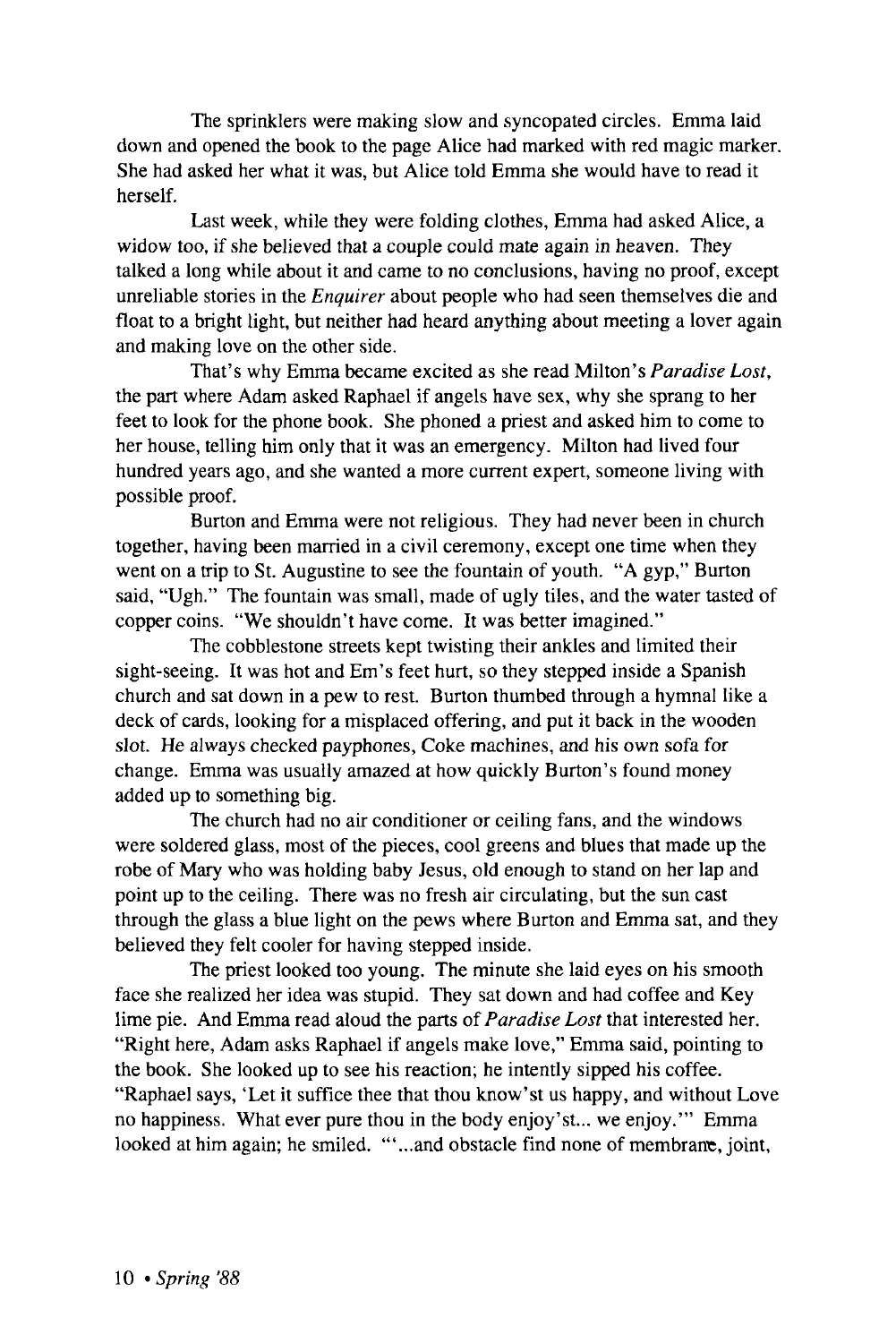The sprinklers were making slow and syncopated circles. Emma laid down and opened the book to the page Alice had marked with red magic marker. She had asked her what it was, but Alice told Emma she would have to read it herself.

Last week, while they were folding clothes, Emma had asked Alice, a widow too, if she believed that a couple could mate again in heaven. They talked a long while about it and came to no conclusions, having no proof, except unreliable stories in the *Enquirer* about people who had seen themselves die and float to a bright light, but neither had heard anything about meeting a lover again and making love on the other side.

That's why Emma became excited as she read Milton's *Paradise Lost,*  the part where Adam asked Raphael if angels have sex, why she sprang to her feet to look for the phone book. She phoned a priest and asked him to come to her house, telling him only that it was an emergency. Milton had lived four hundred years ago, and she wanted a more current expert, someone living with possible proof.

Burton and Emma were not religious. They had never been in church together, having been married in a civil ceremony, except one time when they went on a trip to St. Augustine to see the fountain of youth. "A gyp," Burton said, "Ugh." The fountain was small, made of ugly tiles, and the water tasted of copper coins. "We shouldn't have come. It was better imagined."

The cobblestone streets kept twisting their ankles and limited their sight-seeing. It was hot and Em's feet hurt, so they stepped inside a Spanish church and sat down in a pew to rest. Burton thumbed through a hymnal like a deck of cards, looking for a misplaced offering, and put it back in the wooden slot. He always checked payphones, Coke machines, and his own sofa for change. Emma was usually amazed at how quickly Burton's found money added up to something big.

The church had no air conditioner or ceiling fans, and the windows were soldered glass, most of the pieces, cool greens and blues that made up the robe of Mary who was holding baby Jesus, old enough to stand on her lap and point up to the ceiling. There was no fresh air circulating, but the sun cast through the glass a blue light on the pews where Burton and Emma sat, and they believed they felt cooler for having stepped inside.

The priest looked too young. The minute she laid eyes on his smooth face she realized her idea was stupid. They sat down and had coffee and Key lime pie. And Emma read aloud the parts of *Paradise Lost* that interested her. "Right here, Adam asks Raphael if angels make love," Emma said, pointing to the book. She looked up to see his reaction; he intently sipped his coffee. "Raphael says, 'Let it suffice thee that thou know'st us happy, and without Love no happiness. What ever pure thou in the body enjoy'st... we enjoy.'" Emma looked at him again; he smiled. ""...and obstacle find none of membrane, joint,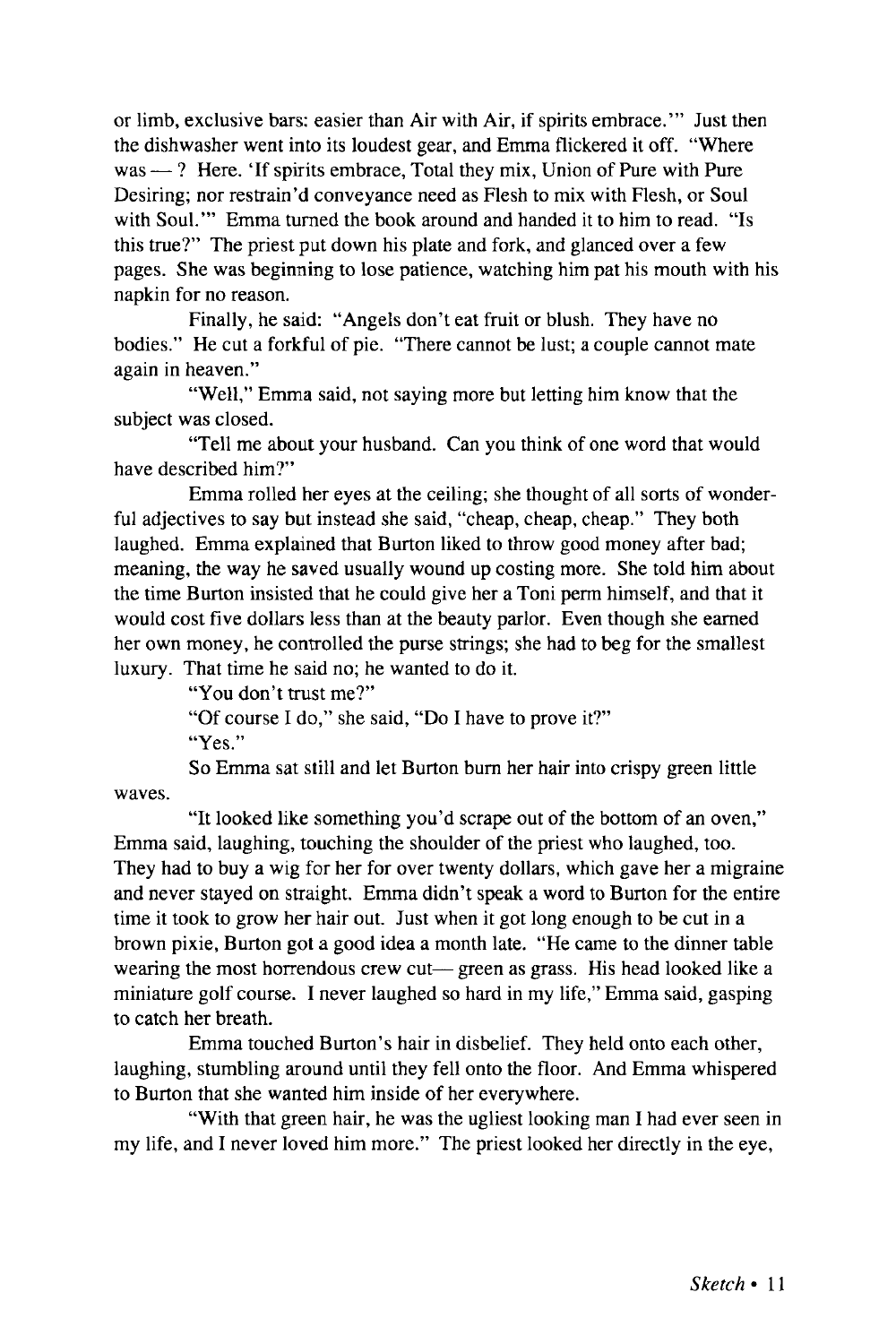or limb, exclusive bars: easier than Air with Air, if spirits embrace.'" Just then the dishwasher went into its loudest gear, and Emma flickered it off. "Where was — ? Here. 'If spirits embrace, Total they mix, Union of Pure with Pure Desiring; nor restrain'd conveyance need as Flesh to mix with Flesh, or Soul with Soul.'" Emma turned the book around and handed it to him to read. "Is this true?" The priest put down his plate and fork, and glanced over a few pages. She was beginning to lose patience, watching him pat his mouth with his napkin for no reason.

Finally, he said: "Angels don't eat fruit or blush. They have no bodies." He cut a forkful of pie. "There cannot be lust; a couple cannot mate again in heaven."

"Well," Emma said, not saying more but letting him know that the subject was closed.

"Tell me about your husband. Can you think of one word that would have described him?"

Emma rolled her eyes at the ceiling; she thought of all sorts of wonderful adjectives to say but instead she said, "cheap, cheap, cheap." They both laughed. Emma explained that Burton liked to throw good money after bad; meaning, the way he saved usually wound up costing more. She told him about the time Burton insisted that he could give her a Toni perm himself, and that it would cost five dollars less than at the beauty parlor. Even though she earned her own money, he controlled the purse strings; she had to beg for the smallest luxury. That time he said no; he wanted to do it.

"You don't trust me?"

"Of course I do," she said, "Do I have to prove it?"

"Yes."

So Emma sat still and let Burton burn her hair into crispy green little waves.

"It looked like something you'd scrape out of the bottom of an oven," Emma said, laughing, touching the shoulder of the priest who laughed, too. They had to buy a wig for her for over twenty dollars, which gave her a migraine and never stayed on straight. Emma didn't speak a word to Burton for the entire time it took to grow her hair out. Just when it got long enough to be cut in a brown pixie, Burton got a good idea a month late. "He came to the dinner table wearing the most horrendous crew cut— green as grass. His head looked like a miniature golf course. I never laughed so hard in my life," Emma said, gasping to catch her breath.

Emma touched Burton's hair in disbelief. They held onto each other, laughing, stumbling around until they fell onto the floor. And Emma whispered to Burton that she wanted him inside of her everywhere.

"With that green hair, he was the ugliest looking man I had ever seen in my life, and I never loved him more." The priest looked her directly in the eye,